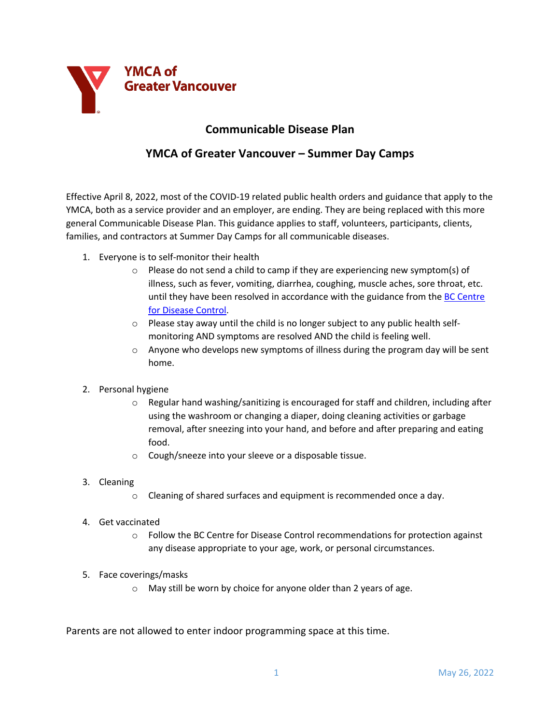

## **Communicable Disease Plan**

## **YMCA of Greater Vancouver – Summer Day Camps**

Effective April 8, 2022, most of the COVID-19 related public health orders and guidance that apply to the YMCA, both as a service provider and an employer, are ending. They are being replaced with this more general Communicable Disease Plan. This guidance applies to staff, volunteers, participants, clients, families, and contractors at Summer Day Camps for all communicable diseases.

- 1. Everyone is to self-monitor their health
	- o Please do not send a child to camp if they are experiencing new symptom(s) of illness, such as fever, vomiting, diarrhea, coughing, muscle aches, sore throat, etc. until they have been resolved in accordance with the guidance from the BC Centre for Disease Control.
	- $\circ$  Please stay away until the child is no longer subject to any public health selfmonitoring AND symptoms are resolved AND the child is feeling well.
	- $\circ$  Anyone who develops new symptoms of illness during the program day will be sent home.
- 2. Personal hygiene
	- $\circ$  Regular hand washing/sanitizing is encouraged for staff and children, including after using the washroom or changing a diaper, doing cleaning activities or garbage removal, after sneezing into your hand, and before and after preparing and eating food.
	- o Cough/sneeze into your sleeve or a disposable tissue.
- 3. Cleaning
	- o Cleaning of shared surfaces and equipment is recommended once a day.
- 4. Get vaccinated
	- $\circ$  Follow the BC Centre for Disease Control recommendations for protection against any disease appropriate to your age, work, or personal circumstances.
- 5. Face coverings/masks
	- o May still be worn by choice for anyone older than 2 years of age.

Parents are not allowed to enter indoor programming space at this time.